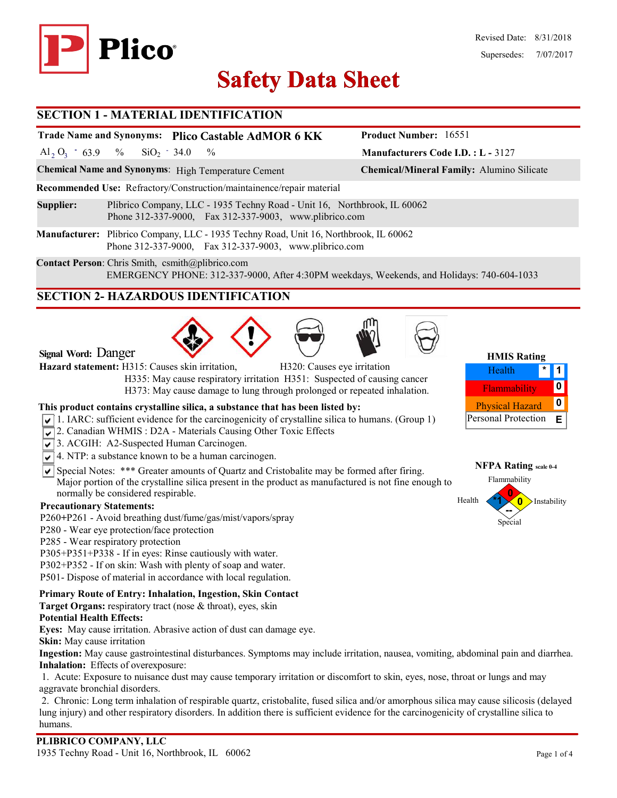

# **Safety Data Sheet Safety Data**

#### **SECTION 1 - MATERIAL IDENTIFICATION**

#### **Trade Name and Synonyms: Plico Castable AdMOR 6 KK**

Al<sub>2</sub> O<sub>3</sub>  $-63.9$  % SiO<sub>2</sub>  $-34.0$  %  $SiO<sub>2</sub> - 34.0$ 

**Chemical Name and Synonyms**: High Temperature Cement **Chemical/Mineral Family:** Alumino Silicate

**Recommended Use:** Refractory/Construction/maintainence/repair material

- **Supplier:** Plibrico Company, LLC 1935 Techny Road Unit 16, Northbrook, IL 60062 Phone 312-337-9000, Fax 312-337-9003, www.plibrico.com
- **Manufacturer:** Plibrico Company, LLC 1935 Techny Road, Unit 16, Northbrook, IL 60062 Phone 312-337-9000, Fax 312-337-9003, www.plibrico.com

**Contact Person**: Chris Smith, csmith@plibrico.com EMERGENCY PHONE: 312-337-9000, After 4:30PM weekdays, Weekends, and Holidays: 740-604-1033

# **SECTION 2- HAZARDOUS IDENTIFICATION**







**Manufacturers Code I.D. : L -** 3127

**Product Number:** 16551

| <b>HMIS Rating</b>         |  |   |  |  |  |
|----------------------------|--|---|--|--|--|
| Health                     |  |   |  |  |  |
| Flammability               |  |   |  |  |  |
| <b>Physical Hazard</b>     |  | n |  |  |  |
| <b>Personal Protection</b> |  | F |  |  |  |



Special

#### **Signal Word:** Danger

**Hazard statement:** H315: Causes skin irritation, H320: Causes eye irritation

 H335: May cause respiratory irritation H351: Suspected of causing cancer H373: May cause damage to lung through prolonged or repeated inhalation.

#### **This product contains crystalline silica, a substance that has been listed by:**

- $\sqrt{1}$ . IARC: sufficient evidence for the carcinogenicity of crystalline silica to humans. (Group 1)
- 2. Canadian WHMIS: D2A Materials Causing Other Toxic Effects
- 3. ACGIH: A2-Suspected Human Carcinogen.
- $\sqrt{\sqrt{4}}$ . NTP: a substance known to be a human carcinogen.
- $\overline{\mathsf{S}}$  Special Notes: \*\*\* Greater amounts of Quartz and Cristobalite may be formed after firing. Major portion of the crystalline silica present in the product as manufactured is not fine enough to normally be considered respirable.

#### **Precautionary Statements:**

- P260**+**P261 Avoid breathing dust/fume/gas/mist/vapors/spray
- P280 Wear eye protection/face protection
- P285 Wear respiratory protection
- P305+P351+P338 If in eyes: Rinse cautiously with water.
- P302+P352 If on skin: Wash with plenty of soap and water.
- P501- Dispose of material in accordance with local regulation.

#### **Primary Route of Entry: Inhalation, Ingestion, Skin Contact**

**Target Organs:** respiratory tract (nose & throat), eyes, skin

#### **Potential Health Effects:**

**Eyes:** May cause irritation. Abrasive action of dust can damage eye.

**Skin:** May cause irritation

**Ingestion:** May cause gastrointestinal disturbances. Symptoms may include irritation, nausea, vomiting, abdominal pain and diarrhea. **Inhalation:** Effects of overexposure:

1. Acute: Exposure to nuisance dust may cause temporary irritation or discomfort to skin, eyes, nose, throat or lungs and may aggravate bronchial disorders.

2. Chronic: Long term inhalation of respirable quartz, cristobalite, fused silica and/or amorphous silica may cause silicosis (delayed lung injury) and other respiratory disorders. In addition there is sufficient evidence for the carcinogenicity of crystalline silica to humans.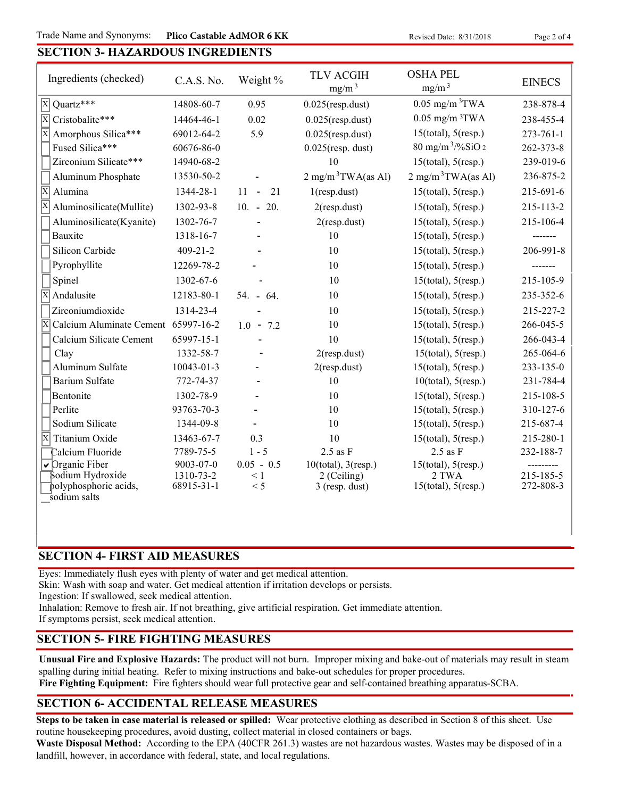Trade Name and Synonyms: Plico Castable AdMOR 6 KK Revised Date: 8/31/2018 Page 2 of 4

### **SECTION 3- HAZARDOUS INGREDIENTS**

| Ingredients (checked)                          | C.A.S. No.              | Weight %        | <b>TLV ACGIH</b><br>mg/m <sup>3</sup> | <b>OSHA PEL</b><br>mg/m <sup>3</sup> | <b>EINECS</b>          |
|------------------------------------------------|-------------------------|-----------------|---------------------------------------|--------------------------------------|------------------------|
| $\overline{X}$ Quartz***                       | 14808-60-7              | 0.95            | $0.025$ (resp.dust)                   | $0.05$ mg/m $3$ TWA                  | 238-878-4              |
| $\overline{\mathrm{X}}$<br>Cristobalite***     | 14464-46-1              | 0.02            | $0.025$ (resp.dust)                   | $0.05$ mg/m $3$ TWA                  | 238-455-4              |
| $\overline{\mathbf{x}}$<br>Amorphous Silica*** | 69012-64-2              | 5.9             | $0.025$ (resp.dust)                   | $15$ (total), $5$ (resp.)            | $273 - 761 - 1$        |
| Fused Silica***                                | 60676-86-0              |                 | $0.025$ (resp. dust)                  | $80 \text{ mg/m}^3$ /%SiO 2          | 262-373-8              |
| Zirconium Silicate***                          | 14940-68-2              |                 | 10                                    | $15$ (total), $5$ (resp.)            | 239-019-6              |
| Aluminum Phosphate                             | 13530-50-2              |                 | $2 \text{ mg/m}^3$ TWA(as Al)         | $2 \text{ mg/m}^3$ TWA(as Al)        | 236-875-2              |
| $\overline{\mathrm{X}}$<br>Alumina             | 1344-28-1               | 21<br>$11 - -$  | $1$ (resp.dust)                       | $15$ (total), $5$ (resp.)            | 215-691-6              |
| Aluminosilicate(Mullite)                       | 1302-93-8               | $10. - 20.$     | $2$ (resp.dust)                       | $15$ (total), $5$ (resp.)            | 215-113-2              |
| Aluminosilicate(Kyanite)                       | 1302-76-7               |                 | $2$ (resp.dust)                       | $15$ (total), $5$ (resp.)            | 215-106-4              |
| Bauxite                                        | 1318-16-7               |                 | 10                                    | $15$ (total), $5$ (resp.)            | -------                |
| Silicon Carbide                                | $409 - 21 - 2$          |                 | 10                                    | $15$ (total), $5$ (resp.)            | 206-991-8              |
| Pyrophyllite                                   | 12269-78-2              |                 | 10                                    | $15$ (total), $5$ (resp.)            |                        |
| Spinel                                         | 1302-67-6               |                 | 10                                    | $15$ (total), $5$ (resp.)            | 215-105-9              |
| $\overline{X}$ Andalusite                      | 12183-80-1              | $54. - 64.$     | 10                                    | $15$ (total), $5$ (resp.)            | 235-352-6              |
| Zirconiumdioxide                               | 1314-23-4               |                 | 10                                    | $15$ (total), $5$ (resp.)            | 215-227-2              |
| X<br>Calcium Aluminate Cement 65997-16-2       |                         | $1.0 - 7.2$     | 10                                    | $15$ (total), $5$ (resp.)            | 266-045-5              |
| Calcium Silicate Cement                        | 65997-15-1              |                 | 10                                    | $15$ (total), $5$ (resp.)            | 266-043-4              |
| Clay                                           | 1332-58-7               |                 | $2$ (resp.dust)                       | $15$ (total), $5$ (resp.)            | 265-064-6              |
| Aluminum Sulfate                               | 10043-01-3              |                 | $2$ (resp.dust)                       | $15$ (total), $5$ (resp.)            | 233-135-0              |
| <b>Barium Sulfate</b>                          | 772-74-37               |                 | 10                                    | $10$ (total), $5$ (resp.)            | 231-784-4              |
| Bentonite                                      | 1302-78-9               |                 | 10                                    | $15$ (total), $5$ (resp.)            | 215-108-5              |
| Perlite                                        | 93763-70-3              |                 | 10                                    | $15$ (total), $5$ (resp.)            | 310-127-6              |
| Sodium Silicate                                | 1344-09-8               |                 | 10                                    | $15$ (total), $5$ (resp.)            | 215-687-4              |
| X<br>Titanium Oxide                            | 13463-67-7              | 0.3             | 10                                    | $15$ (total), $5$ (resp.)            | 215-280-1              |
| Calcium Fluoride                               | 7789-75-5               | $1 - 5$         | $2.5$ as $F$                          | $2.5$ as $F$                         | 232-188-7              |
| $\sqrt{}$ Organic Fiber                        | 9003-07-0               | $0.05 - 0.5$    | $10$ (total), $3$ (resp.)             | $15$ (total), $5$ (resp.)            |                        |
| Sodium Hydroxide<br>polyphosphoric acids,      | 1310-73-2<br>68915-31-1 | $\leq 1$<br>< 5 | 2 (Ceiling)<br>$3$ (resp. dust)       | 2 TWA<br>$15$ (total), $5$ (resp.)   | 215-185-5<br>272-808-3 |
| sodium salts                                   |                         |                 |                                       |                                      |                        |

#### **SECTION 4- FIRST AID MEASURES**

Eyes: Immediately flush eyes with plenty of water and get medical attention.

Skin: Wash with soap and water. Get medical attention if irritation develops or persists.

Ingestion: If swallowed, seek medical attention.

Inhalation: Remove to fresh air. If not breathing, give artificial respiration. Get immediate attention.

If symptoms persist, seek medical attention.

#### **SECTION 5- FIRE FIGHTING MEASURES**

**Unusual Fire and Explosive Hazards:** The product will not burn. Improper mixing and bake-out of materials may result in steam spalling during initial heating. Refer to mixing instructions and bake-out schedules for proper procedures.

**Fire Fighting Equipment:** Fire fighters should wear full protective gear and self-contained breathing apparatus-SCBA.

#### **SECTION 6- ACCIDENTAL RELEASE MEASURES**

**Steps to be taken in case material is released or spilled:** Wear protective clothing as described in Section 8 of this sheet. Use routine housekeeping procedures, avoid dusting, collect material in closed containers or bags.

**Waste Disposal Method:** According to the EPA (40CFR 261.3) wastes are not hazardous wastes. Wastes may be disposed of in a landfill, however, in accordance with federal, state, and local regulations.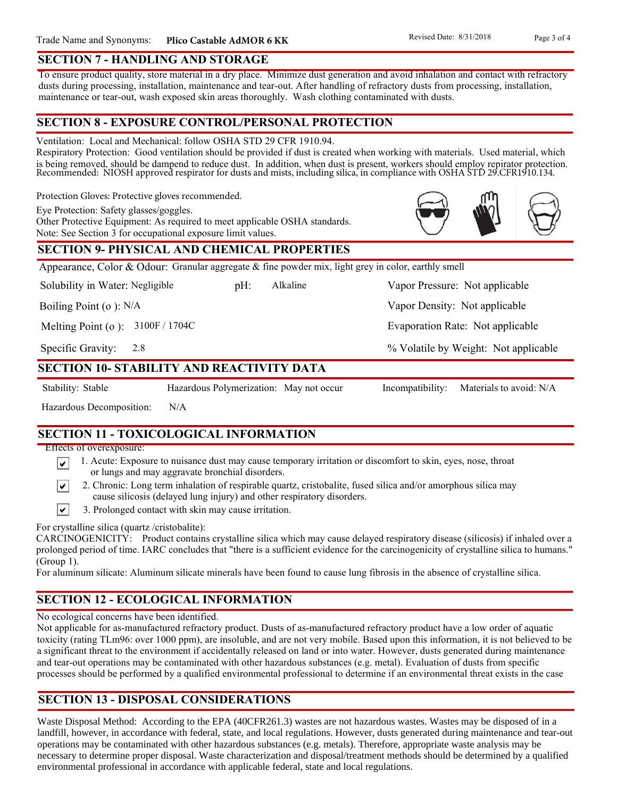#### **SECTION 7 - HANDLING AND STORAGE**

To ensure product quality, store material in a dry place. Minimize dust generation and avoid inhalation and contact with refractory dusts during processing, installation, maintenance and tear-out. After handling of refractory dusts from processing, installation, maintenance or tear-out, wash exposed skin areas thoroughly. Wash clothing contaminated with dusts.

#### **SECTION 8 - EXPOSURE CONTROL/PERSONAL PROTECTION**

Ventilation: Local and Mechanical: follow OSHA STD 29 CFR 1910.94.

Respiratory Protection: Good ventilation should be provided if dust is created when working with materials. Used material, which is being removed, should be dampend to reduce dust. In addition, when dust is present, workers should employ repirator protection. Recommended: NIOSH approved respirator for dusts and mists, including silica, in compliance with OSHA STD 29.CFR1910.134.

Protection Gloves: Protective gloves recommended.

Eye Protection: Safety glasses/goggles.

Other Protective Equipment: As required to meet applicable OSHA standards. Note: See Section 3 for occupational exposure limit values.

# **SECTION 9- PHYSICAL AND CHEMICAL PROPERTIES**

Appearance, Color & Odour: Granular aggregate & fine powder mix, light grey in color, earthly smell

Solubility in Water: Negligible

pH: Alkaline Vapor Pressure: Not applicable Alkaline

Boiling Point (o ): N/A

Melting Point (o ): 3100F / 1704C

2.8 Specific Gravity:

#### **SECTION 10- STABILITY AND REACTIVITY DATA**

∣V∣

Stability: Stable Hazardous Polymerization: May not occur Incompatibility: Materials to avoid: N/A

% Volatile by Weight: Not applicable

Vapor Density: Not applicable

Evaporation Rate: Not applicable

Hazardous Decomposition: N/A

# **SECTION 11 - TOXICOLOGICAL INFORMATION**

Effects of overexposure:

- 1. Acute: Exposure to nuisance dust may cause temporary irritation or discomfort to skin, eyes, nose, throat ∣V∣ or lungs and may aggravate bronchial disorders.
	- 2. Chronic: Long term inhalation of respirable quartz, cristobalite, fused silica and/or amorphous silica may cause silicosis (delayed lung injury) and other respiratory disorders.
- $\vert\mathbf{v}\vert$ 3. Prolonged contact with skin may cause irritation.

For crystalline silica (quartz /cristobalite):

CARCINOGENICITY: Product contains crystalline silica which may cause delayed respiratory disease (silicosis) if inhaled over a prolonged period of time. IARC concludes that "there is a sufficient evidence for the carcinogenicity of crystalline silica to humans." (Group 1).

For aluminum silicate: Aluminum silicate minerals have been found to cause lung fibrosis in the absence of crystalline silica.

# **SECTION 12 - ECOLOGICAL INFORMATION**

No ecological concerns have been identified.

Not applicable for as-manufactured refractory product. Dusts of as-manufactured refractory product have a low order of aquatic toxicity (rating TLm96: over 1000 ppm), are insoluble, and are not very mobile. Based upon this information, it is not believed to be a significant threat to the environment if accidentally released on land or into water. However, dusts generated during maintenance and tear-out operations may be contaminated with other hazardous substances (e.g. metal). Evaluation of dusts from specific processes should be performed by a qualified environmental professional to determine if an environmental threat exists in the case

# **SECTION 13 - DISPOSAL CONSIDERATIONS**

Waste Disposal Method: According to the EPA (40CFR261.3) wastes are not hazardous wastes. Wastes may be disposed of in a landfill, however, in accordance with federal, state, and local regulations. However, dusts generated during maintenance and tear-out operations may be contaminated with other hazardous substances (e.g. metals). Therefore, appropriate waste analysis may be necessary to determine proper disposal. Waste characterization and disposal/treatment methods should be determined by a qualified environmental professional in accordance with applicable federal, state and local regulations.